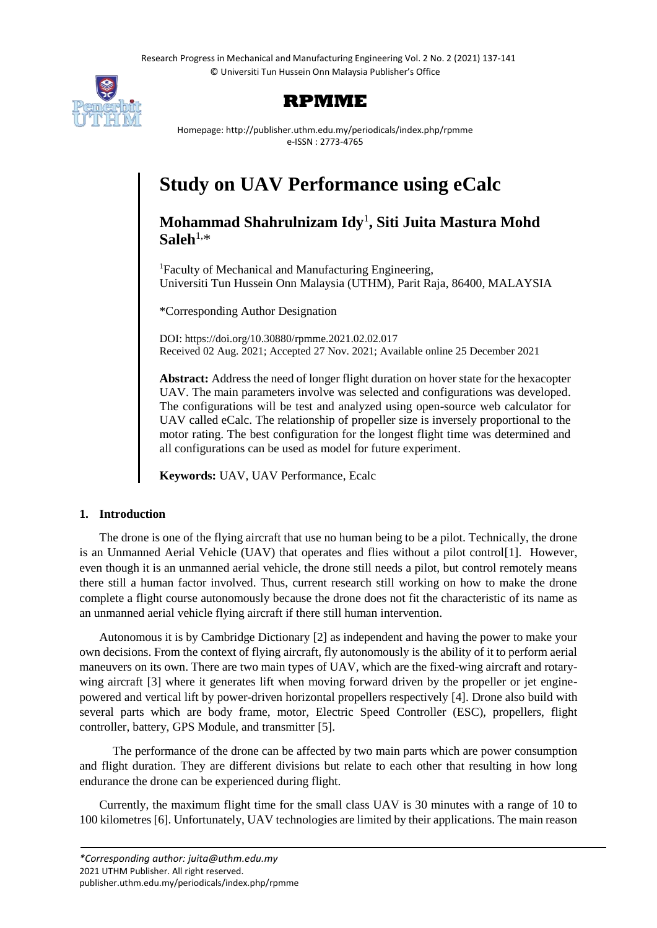

# **RPMME**

Homepage: http://publisher.uthm.edu.my/periodicals/index.php/rpmme e-ISSN : 2773-4765

# **Study on UAV Performance using eCalc**

# **Mohammad Shahrulnizam Idy**<sup>1</sup> **, Siti Juita Mastura Mohd**   $S$ aleh<sup>1,\*</sup>

<sup>1</sup>Faculty of Mechanical and Manufacturing Engineering, Universiti Tun Hussein Onn Malaysia (UTHM), Parit Raja, 86400, MALAYSIA

\*Corresponding Author Designation

DOI: https://doi.org/10.30880/rpmme.2021.02.02.017 Received 02 Aug. 2021; Accepted 27 Nov. 2021; Available online 25 December 2021

**Abstract:** Address the need of longer flight duration on hover state for the hexacopter UAV. The main parameters involve was selected and configurations was developed. The configurations will be test and analyzed using open-source web calculator for UAV called eCalc. The relationship of propeller size is inversely proportional to the motor rating. The best configuration for the longest flight time was determined and all configurations can be used as model for future experiment.

**Keywords:** UAV, UAV Performance, Ecalc

# **1. Introduction**

The drone is one of the flying aircraft that use no human being to be a pilot. Technically, the drone is an Unmanned Aerial Vehicle (UAV) that operates and flies without a pilot control[1]. However, even though it is an unmanned aerial vehicle, the drone still needs a pilot, but control remotely means there still a human factor involved. Thus, current research still working on how to make the drone complete a flight course autonomously because the drone does not fit the characteristic of its name as an unmanned aerial vehicle flying aircraft if there still human intervention.

Autonomous it is by Cambridge Dictionary [2] as independent and having the power to make your own decisions. From the context of flying aircraft, fly autonomously is the ability of it to perform aerial maneuvers on its own. There are two main types of UAV, which are the fixed-wing aircraft and rotarywing aircraft [3] where it generates lift when moving forward driven by the propeller or jet enginepowered and vertical lift by power-driven horizontal propellers respectively [4]. Drone also build with several parts which are body frame, motor, Electric Speed Controller (ESC), propellers, flight controller, battery, GPS Module, and transmitter [5].

 The performance of the drone can be affected by two main parts which are power consumption and flight duration. They are different divisions but relate to each other that resulting in how long endurance the drone can be experienced during flight.

Currently, the maximum flight time for the small class UAV is 30 minutes with a range of 10 to 100 kilometres [6]. Unfortunately, UAV technologies are limited by their applications. The main reason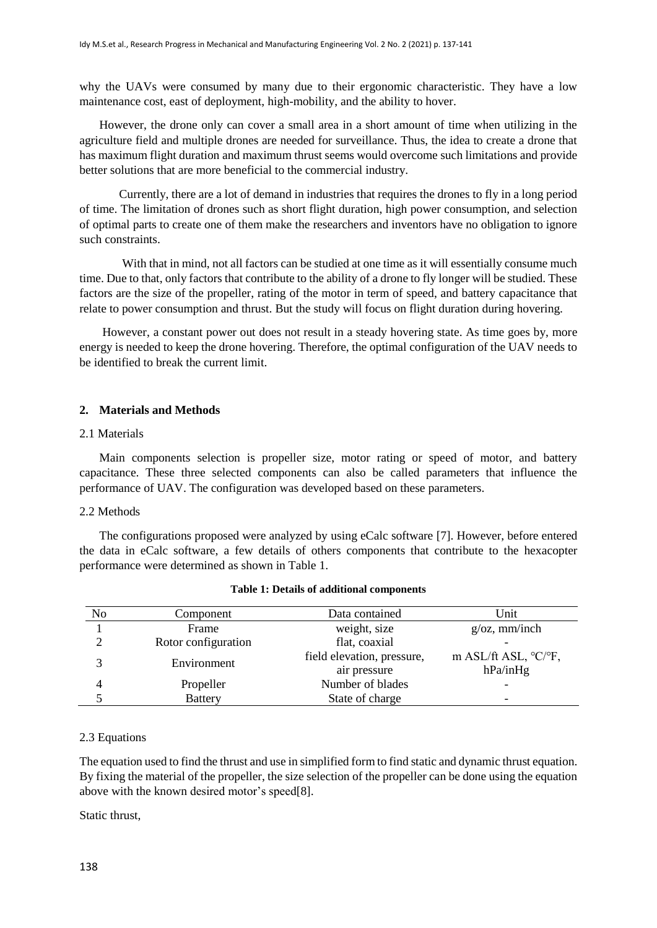why the UAVs were consumed by many due to their ergonomic characteristic. They have a low maintenance cost, east of deployment, high-mobility, and the ability to hover.

However, the drone only can cover a small area in a short amount of time when utilizing in the agriculture field and multiple drones are needed for surveillance. Thus, the idea to create a drone that has maximum flight duration and maximum thrust seems would overcome such limitations and provide better solutions that are more beneficial to the commercial industry.

Currently, there are a lot of demand in industries that requires the drones to fly in a long period of time. The limitation of drones such as short flight duration, high power consumption, and selection of optimal parts to create one of them make the researchers and inventors have no obligation to ignore such constraints.

With that in mind, not all factors can be studied at one time as it will essentially consume much time. Due to that, only factors that contribute to the ability of a drone to fly longer will be studied. These factors are the size of the propeller, rating of the motor in term of speed, and battery capacitance that relate to power consumption and thrust. But the study will focus on flight duration during hovering.

However, a constant power out does not result in a steady hovering state. As time goes by, more energy is needed to keep the drone hovering. Therefore, the optimal configuration of the UAV needs to be identified to break the current limit.

### **2. Materials and Methods**

# 2.1 Materials

Main components selection is propeller size, motor rating or speed of motor, and battery capacitance. These three selected components can also be called parameters that influence the performance of UAV. The configuration was developed based on these parameters.

### 2.2 Methods

The configurations proposed were analyzed by using eCalc software [7]. However, before entered the data in eCalc software, a few details of others components that contribute to the hexacopter performance were determined as shown in [Table 1.](#page-1-0)

<span id="page-1-0"></span>

| N <sub>o</sub> | Component           | Data contained                             | Unit                                         |  |
|----------------|---------------------|--------------------------------------------|----------------------------------------------|--|
|                | Frame               | weight, size                               | $g/\text{o}z$ , mm/inch                      |  |
|                | Rotor configuration | flat, coaxial                              |                                              |  |
| 2              | Environment         | field elevation, pressure,<br>air pressure | m ASL/ft ASL, $\rm{C}/\rm{C}$ F,<br>hPa/inHg |  |
| 4              | Propeller           | Number of blades                           |                                              |  |
|                | <b>Battery</b>      | State of charge                            | $\overline{\phantom{0}}$                     |  |

#### **Table 1: Details of additional components**

#### 2.3 Equations

The equation used to find the thrust and use in simplified form to find static and dynamic thrust equation. By fixing the material of the propeller, the size selection of the propeller can be done using the equation above with the known desired motor's speed[8].

Static thrust,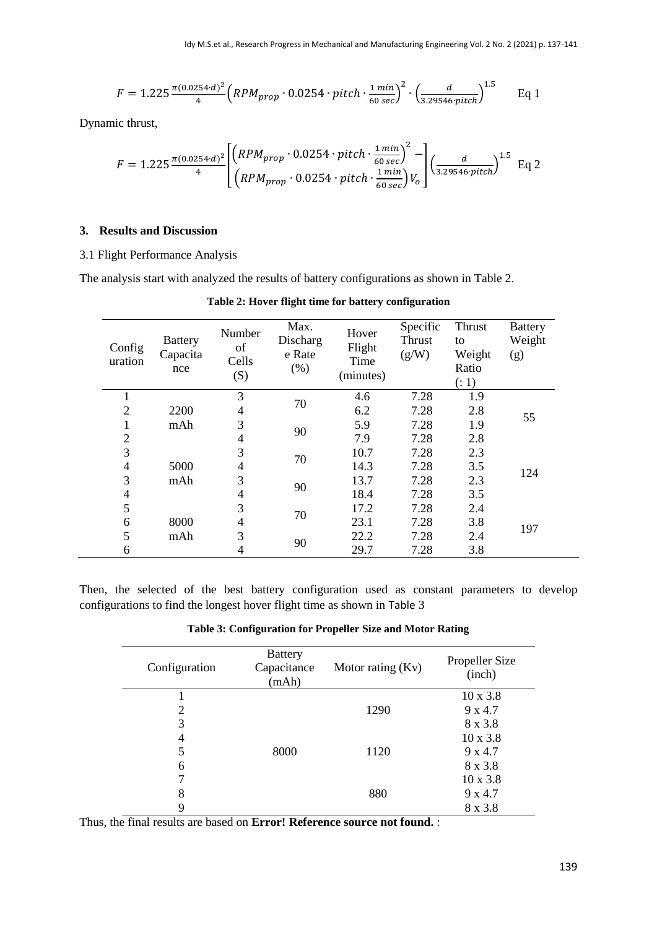$$
F = 1.225 \frac{\pi (0.0254 \cdot d)^2}{4} \left( RPM_{prop} \cdot 0.0254 \cdot pitch \cdot \frac{1 \, min}{60 \, sec} \right)^2 \cdot \left( \frac{d}{3.29546 \cdot pitch} \right)^{1.5} \qquad \text{Eq 1}
$$

Dynamic thrust,

$$
F = 1.225 \frac{\pi (0.0254 \cdot d)^2}{4} \left[ \left( \frac{R P M_{prop} \cdot 0.0254 \cdot pitch \cdot \frac{1 \cdot min}{60 \cdot sec}}{R P M_{prop} \cdot 0.0254 \cdot pitch \cdot \frac{1 \cdot min}{60 \cdot sec}} \right) V_o \right] \left( \frac{d}{3.29546 \cdot pitch} \right)^{1.5} \text{ Eq } 2
$$

# **3. Results and Discussion**

# 3.1 Flight Performance Analysis

<span id="page-2-0"></span>The analysis start with analyzed the results of battery configurations as shown in [Table 2.](#page-2-0)

| Config<br>uration        | <b>Battery</b><br>Capacita<br>nce | Number<br>of<br>Cells<br>(S) | Max.<br>Discharg<br>e Rate<br>(% ) | Hover<br>Flight<br>Time<br>(minutes) | Specific<br>Thrust<br>(g/W) | Thrust<br>to<br>Weight<br>Ratio<br>( : 1) | <b>Battery</b><br>Weight<br>(g) |
|--------------------------|-----------------------------------|------------------------------|------------------------------------|--------------------------------------|-----------------------------|-------------------------------------------|---------------------------------|
|                          |                                   | 3                            | 70                                 | 4.6                                  | 7.28                        | 1.9                                       |                                 |
| $\overline{2}$           | 2200                              | 4                            |                                    | 6.2                                  | 7.28                        | 2.8                                       | 55                              |
| 1                        | mAh                               | 3                            | 90                                 | 5.9                                  | 7.28                        | 1.9                                       |                                 |
| $\overline{2}$           |                                   | 4                            |                                    | 7.9                                  | 7.28                        | 2.8                                       |                                 |
| 3                        |                                   | 3                            | 70                                 | 10.7                                 | 7.28                        | 2.3                                       |                                 |
| $\overline{\mathcal{A}}$ | 5000                              | 4                            |                                    | 14.3                                 | 7.28                        | 3.5                                       | 124                             |
| 3                        | mAh                               | 3                            | 90                                 | 13.7                                 | 7.28                        | 2.3                                       |                                 |
| $\overline{\mathcal{A}}$ |                                   | 4                            |                                    | 18.4                                 | 7.28                        | 3.5                                       |                                 |
| 5                        |                                   | 3                            | 70                                 | 17.2                                 | 7.28                        | 2.4                                       |                                 |
| 6                        | 8000                              | 4                            |                                    | 23.1                                 | 7.28                        | 3.8                                       | 197                             |
| 5                        | mAh                               | 3                            |                                    | 22.2                                 | 7.28                        | 2.4                                       |                                 |
| 6                        |                                   | 4                            | 90                                 | 29.7                                 | 7.28                        | 3.8                                       |                                 |

**Table 2: Hover flight time for battery configuration**

<span id="page-2-1"></span>Then, the selected of the best battery configuration used as constant parameters to develop configurations to find the longest hover flight time as shown in [Table](#page-2-1) 3

**Table 3: Configuration for Propeller Size and Motor Rating**

| Configuration | <b>Battery</b><br>Capacitance<br>(mAh) | Motor rating $(Kv)$ | Propeller Size<br>(inch) |
|---------------|----------------------------------------|---------------------|--------------------------|
|               |                                        |                     | $10 \times 3.8$          |
| 2             |                                        | 1290                | 9 x 4.7                  |
| 3             |                                        |                     | 8 x 3.8                  |
| 4             |                                        |                     | $10 \times 3.8$          |
| 5             | 8000                                   | 1120                | 9 x 4.7                  |
| 6             |                                        |                     | 8 x 3.8                  |
|               |                                        |                     | $10 \times 3.8$          |
| 8             |                                        | 880                 | 9 x 4.7                  |
| 9             |                                        |                     | 8 x 3.8                  |

Thus, the final results are based on **Error! Reference source not found.** :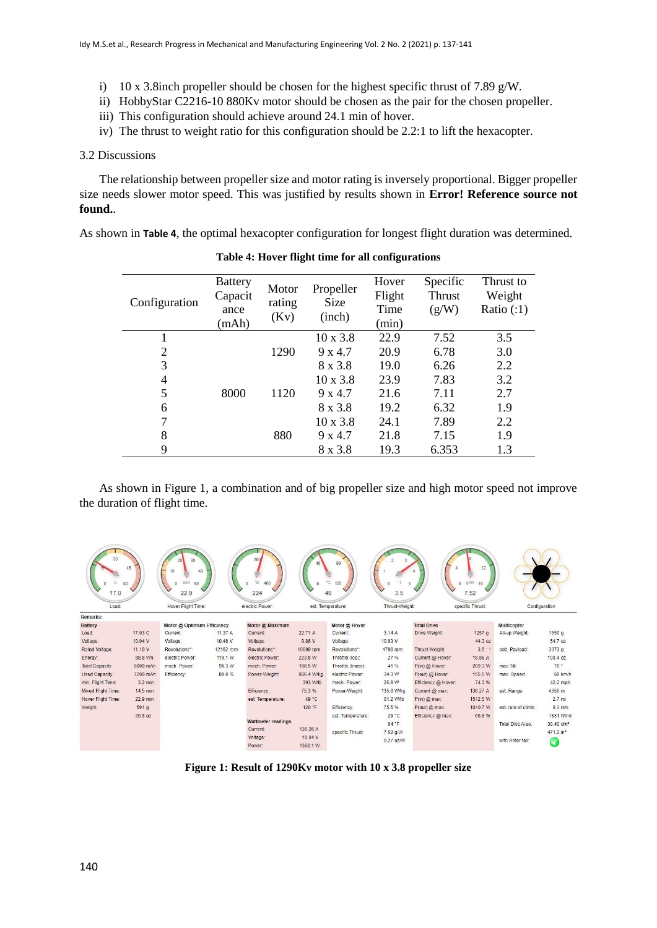- i) 10 x 3.8inch propeller should be chosen for the highest specific thrust of 7.89 g/W.
- ii) HobbyStar C2216-10 880Kv motor should be chosen as the pair for the chosen propeller.
- iii) This configuration should achieve around 24.1 min of hover.
- iv) The thrust to weight ratio for this configuration should be 2.2:1 to lift the hexacopter.

#### 3.2 Discussions

The relationship between propeller size and motor rating is inversely proportional. Bigger propeller size needs slower motor speed. This was justified by results shown in **Error! Reference source not found.**.

<span id="page-3-0"></span>As shown in **[Table 4](#page-3-0)**, the optimal hexacopter configuration for longest flight duration was determined.

| Configuration | <b>Battery</b><br>Capacit<br>ance<br>(mAh) | Motor<br>rating<br>(Kv) | Propeller<br>Size<br>(inch) | Hover<br>Flight<br>Time<br>(min) | Specific<br>Thrust<br>(g/W) | Thrust to<br>Weight<br>Ratio $(:1)$ |
|---------------|--------------------------------------------|-------------------------|-----------------------------|----------------------------------|-----------------------------|-------------------------------------|
|               |                                            |                         | $10 \times 3.8$             | 22.9                             | 7.52                        | 3.5                                 |
| 2             |                                            | 1290                    | 9 x 4.7                     | 20.9                             | 6.78                        | 3.0                                 |
| 3             | 8000                                       |                         | 8 x 3.8                     | 19.0                             | 6.26                        | 2.2                                 |
| 4             |                                            | 1120                    | $10 \times 3.8$             | 23.9                             | 7.83                        | 3.2                                 |
| 5             |                                            |                         | 9 x 4.7                     | 21.6                             | 7.11                        | 2.7                                 |
| 6             |                                            |                         | 8 x 3.8                     | 19.2                             | 6.32                        | 1.9                                 |
| 7             |                                            | 880                     | $10 \times 3.8$             | 24.1                             | 7.89                        | 2.2                                 |
| 8             |                                            |                         | 9 x 4.7                     | 21.8                             | 7.15                        | 1.9                                 |
| 9             |                                            |                         | 8 x 3.8                     | 19.3                             | 6.353                       | 1.3                                 |

**Table 4: Hover flight time for all configurations**

As shown in [Figure 1,](#page-3-1) a combination and of big propeller size and high motor speed not improve the duration of flight time.



<span id="page-3-1"></span>**Figure 1: Result of 1290Kv motor with 10 x 3.8 propeller size**